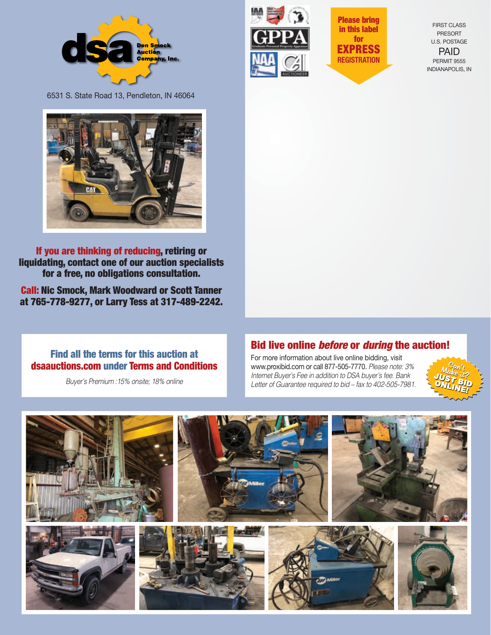



Please bring in this label for EXPRESS **REGISTRATION**

FIRST CLASS PRESORT U.S. POSTAGE PAID PERMIT 9555 INDIANAPOLIS, IN

6531 S. State Road 13, Pendleton, IN 46064



If you are thinking of reducing, retiring or liquidating, contact one of our auction specialists for a free, no obligations consultation.

Call: Nic Smock, Mark Woodward or Scott Tanner at 765-778-9277, or Larry Tess at 317-489-2242.

## Find all the terms for this auction at dsaauctions.com under Terms and Conditions

*Buyer's Premium :15% onsite; 18% online* 

# Bid live online *before* or *during* the auction!

For more information about live online bidding, visit www.proxibid.com or call 877-505-7770. *Please note: 3% Internet Buyer's Fee in addition to DSA buyer's fee. Bank Letter of Guarantee required to bid – fax to 402-505-7981.*